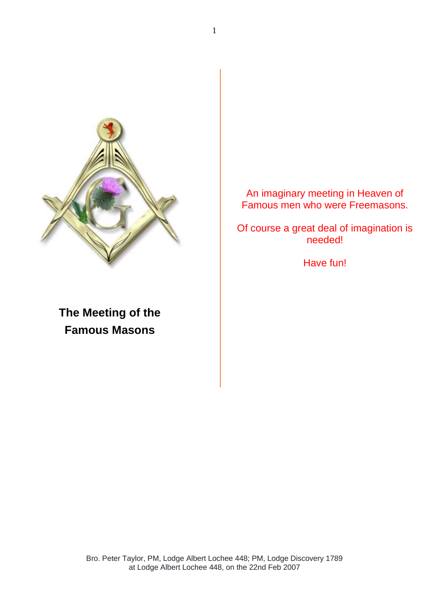

An imaginary meeting in Heaven of Famous men who were Freemasons.

Of course a great deal of imagination is needed!

Have fun!

**The Meeting of the Famous Masons**

> Bro. Peter Taylor, PM, Lodge Albert Lochee 448; PM, Lodge Discovery 1789 at Lodge Albert Lochee 448, on the 22nd Feb 2007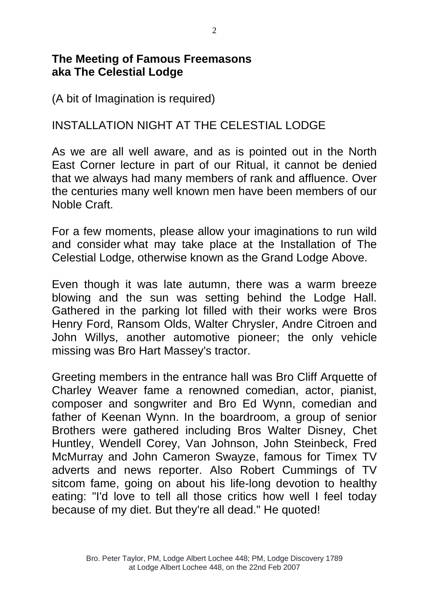## **The Meeting of Famous Freemasons aka The Celestial Lodge**

(A bit of Imagination is required)

## INSTALLATION NIGHT AT THE CELESTIAL LODGE

As we are all well aware, and as is pointed out in the North East Corner lecture in part of our Ritual, it cannot be denied that we always had many members of rank and affluence. Over the centuries many well known men have been members of our Noble Craft.

For a few moments, please allow your imaginations to run wild and consider what may take place at the Installation of The Celestial Lodge, otherwise known as the Grand Lodge Above.

Even though it was late autumn, there was a warm breeze blowing and the sun was setting behind the Lodge Hall. Gathered in the parking lot filled with their works were Bros Henry Ford, Ransom Olds, Walter Chrysler, Andre Citroen and John Willys, another automotive pioneer; the only vehicle missing was Bro Hart Massey's tractor.

Greeting members in the entrance hall was Bro Cliff Arquette of Charley Weaver fame a renowned comedian, actor, pianist, composer and songwriter and Bro Ed Wynn, comedian and father of Keenan Wynn. In the boardroom, a group of senior Brothers were gathered including Bros Walter Disney, Chet Huntley, Wendell Corey, Van Johnson, John Steinbeck, Fred McMurray and John Cameron Swayze, famous for Timex TV adverts and news reporter. Also Robert Cummings of TV sitcom fame, going on about his life-long devotion to healthy eating: "I'd love to tell all those critics how well I feel today because of my diet. But they're all dead." He quoted!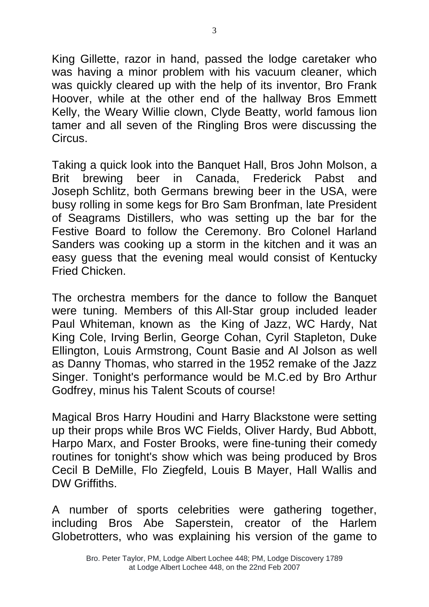King Gillette, razor in hand, passed the lodge caretaker who was having a minor problem with his vacuum cleaner, which was quickly cleared up with the help of its inventor, Bro Frank Hoover, while at the other end of the hallway Bros Emmett Kelly, the Weary Willie clown, Clyde Beatty, world famous lion tamer and all seven of the Ringling Bros were discussing the Circus.

Taking a quick look into the Banquet Hall, Bros John Molson, a Brit brewing beer in Canada, Frederick Pabst and Joseph Schlitz, both Germans brewing beer in the USA, were busy rolling in some kegs for Bro Sam Bronfman, late President of Seagrams Distillers, who was setting up the bar for the Festive Board to follow the Ceremony. Bro Colonel Harland Sanders was cooking up a storm in the kitchen and it was an easy guess that the evening meal would consist of Kentucky Fried Chicken.

The orchestra members for the dance to follow the Banquet were tuning. Members of this All-Star group included leader Paul Whiteman, known as the King of Jazz, WC Hardy, Nat King Cole, Irving Berlin, George Cohan, Cyril Stapleton, Duke Ellington, Louis Armstrong, Count Basie and Al Jolson as well as Danny Thomas, who starred in the 1952 remake of the Jazz Singer. Tonight's performance would be M.C.ed by Bro Arthur Godfrey, minus his Talent Scouts of course!

Magical Bros Harry Houdini and Harry Blackstone were setting up their props while Bros WC Fields, Oliver Hardy, Bud Abbott, Harpo Marx, and Foster Brooks, were fine-tuning their comedy routines for tonight's show which was being produced by Bros Cecil B DeMille, Flo Ziegfeld, Louis B Mayer, Hall Wallis and DW Griffiths.

A number of sports celebrities were gathering together, including Bros Abe Saperstein, creator of the Harlem Globetrotters, who was explaining his version of the game to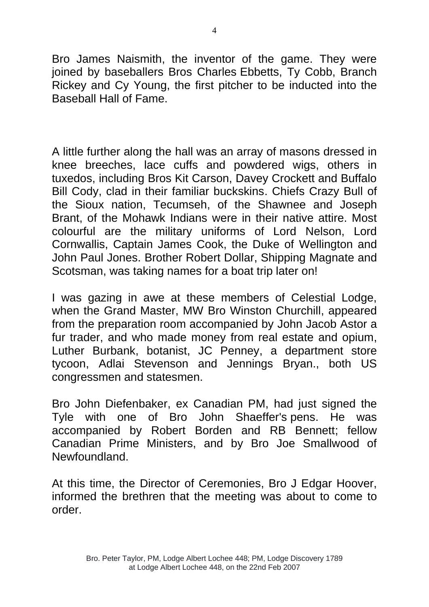Bro James Naismith, the inventor of the game. They were joined by baseballers Bros Charles Ebbetts, Ty Cobb, Branch Rickey and Cy Young, the first pitcher to be inducted into the Baseball Hall of Fame.

A little further along the hall was an array of masons dressed in knee breeches, lace cuffs and powdered wigs, others in tuxedos, including Bros Kit Carson, Davey Crockett and Buffalo Bill Cody, clad in their familiar buckskins. Chiefs Crazy Bull of the Sioux nation, Tecumseh, of the Shawnee and Joseph Brant, of the Mohawk Indians were in their native attire. Most colourful are the military uniforms of Lord Nelson, Lord Cornwallis, Captain James Cook, the Duke of Wellington and John Paul Jones. Brother Robert Dollar, Shipping Magnate and Scotsman, was taking names for a boat trip later on!

I was gazing in awe at these members of Celestial Lodge, when the Grand Master, MW Bro Winston Churchill, appeared from the preparation room accompanied by John Jacob Astor a fur trader, and who made money from real estate and opium, Luther Burbank, botanist, JC Penney, a department store tycoon, Adlai Stevenson and Jennings Bryan., both US congressmen and statesmen.

Bro John Diefenbaker, ex Canadian PM, had just signed the Tyle with one of Bro John Shaeffer's pens. He was accompanied by Robert Borden and RB Bennett; fellow Canadian Prime Ministers, and by Bro Joe Smallwood of Newfoundland.

At this time, the Director of Ceremonies, Bro J Edgar Hoover, informed the brethren that the meeting was about to come to order.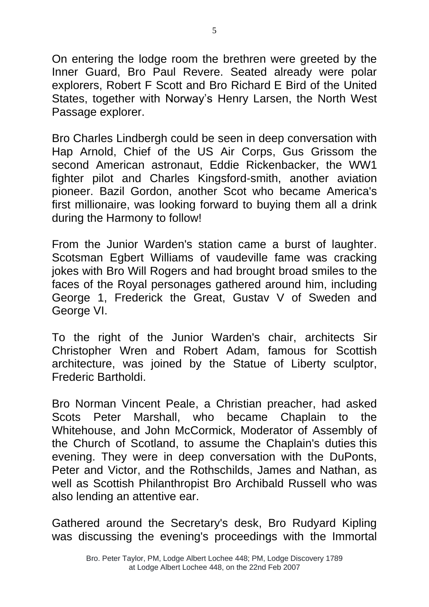On entering the lodge room the brethren were greeted by the Inner Guard, Bro Paul Revere. Seated already were polar explorers, Robert F Scott and Bro Richard E Bird of the United States, together with Norway's Henry Larsen, the North West Passage explorer.

Bro Charles Lindbergh could be seen in deep conversation with Hap Arnold, Chief of the US Air Corps, Gus Grissom the second American astronaut, Eddie Rickenbacker, the WW1 fighter pilot and Charles Kingsford-smith, another aviation pioneer. Bazil Gordon, another Scot who became America's first millionaire, was looking forward to buying them all a drink during the Harmony to follow!

From the Junior Warden's station came a burst of laughter. Scotsman Egbert Williams of vaudeville fame was cracking jokes with Bro Will Rogers and had brought broad smiles to the faces of the Royal personages gathered around him, including George 1, Frederick the Great, Gustav V of Sweden and George VI.

To the right of the Junior Warden's chair, architects Sir Christopher Wren and Robert Adam, famous for Scottish architecture, was joined by the Statue of Liberty sculptor, Frederic Bartholdi.

Bro Norman Vincent Peale, a Christian preacher, had asked Scots Peter Marshall, who became Chaplain to the Whitehouse, and John McCormick, Moderator of Assembly of the Church of Scotland, to assume the Chaplain's duties this evening. They were in deep conversation with the DuPonts, Peter and Victor, and the Rothschilds, James and Nathan, as well as Scottish Philanthropist Bro Archibald Russell who was also lending an attentive ear.

Gathered around the Secretary's desk, Bro Rudyard Kipling was discussing the evening's proceedings with the Immortal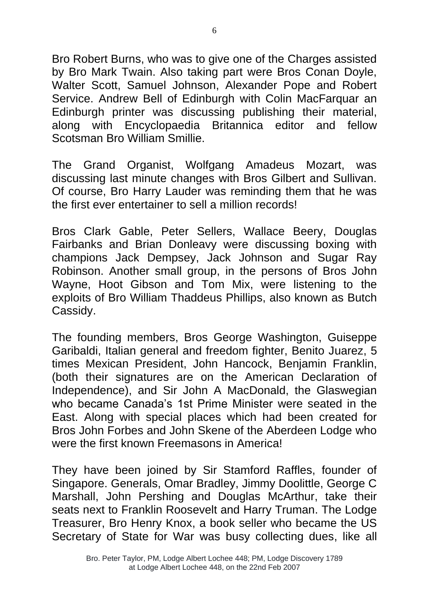Bro Robert Burns, who was to give one of the Charges assisted by Bro Mark Twain. Also taking part were Bros Conan Doyle, Walter Scott, Samuel Johnson, Alexander Pope and Robert Service. Andrew Bell of Edinburgh with Colin MacFarquar an Edinburgh printer was discussing publishing their material, along with Encyclopaedia Britannica editor and fellow Scotsman Bro William Smillie.

The Grand Organist, Wolfgang Amadeus Mozart, was discussing last minute changes with Bros Gilbert and Sullivan. Of course, Bro Harry Lauder was reminding them that he was the first ever entertainer to sell a million records!

Bros Clark Gable, Peter Sellers, Wallace Beery, Douglas Fairbanks and Brian Donleavy were discussing boxing with champions Jack Dempsey, Jack Johnson and Sugar Ray Robinson. Another small group, in the persons of Bros John Wayne, Hoot Gibson and Tom Mix, were listening to the exploits of Bro William Thaddeus Phillips, also known as Butch Cassidy.

The founding members, Bros George Washington, Guiseppe Garibaldi, Italian general and freedom fighter, Benito Juarez, 5 times Mexican President, John Hancock, Benjamin Franklin, (both their signatures are on the American Declaration of Independence), and Sir John A MacDonald, the Glaswegian who became Canada's 1st Prime Minister were seated in the East. Along with special places which had been created for Bros John Forbes and John Skene of the Aberdeen Lodge who were the first known Freemasons in America!

They have been joined by Sir Stamford Raffles, founder of Singapore. Generals, Omar Bradley, Jimmy Doolittle, George C Marshall, John Pershing and Douglas McArthur, take their seats next to Franklin Roosevelt and Harry Truman. The Lodge Treasurer, Bro Henry Knox, a book seller who became the US Secretary of State for War was busy collecting dues, like all